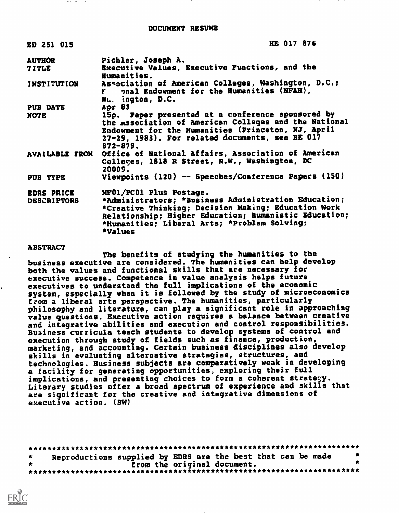| ED 251 015            | HE 017 876                                                                                                                                                                                                                          |
|-----------------------|-------------------------------------------------------------------------------------------------------------------------------------------------------------------------------------------------------------------------------------|
| <b>AUTHOR</b>         | Pichler, Joseph A.                                                                                                                                                                                                                  |
| <b>TITLE</b>          | Executive Values, Executive Functions, and the<br>Humanities.                                                                                                                                                                       |
| <b>INSTITUTION</b>    | Association of American Colleges, Washington, D.C.;<br>onal Endowment for the Humanities (NFAH),<br>$\mathbf{r}$<br>W. ington, D.C.                                                                                                 |
| <b>PUB DATE</b>       | Apr 83                                                                                                                                                                                                                              |
| <b>NOTE</b>           | 15p. Paper presented at a conference sponsored by<br>the Association of American Colleges and the National<br>Endowment for the Humanities (Princeton, NJ, April<br>27-29, 1983). For related documents, see HE 017<br>$872 - 879.$ |
| <b>AVAILABLE FROM</b> | Office of National Affairs, Association of American<br>Colleges, 1818 R Street, N.W., Washington, DC<br>20005.                                                                                                                      |
| PUB TYPE              | Viewpoints (120) -- Speeches/Conference Papers (150)                                                                                                                                                                                |
| EDRS PRICE            | MF01/PC01 Plus Postage.                                                                                                                                                                                                             |
| <b>DESCRIPTORS</b>    | *Administrators; *Business Administration Education;<br>*Creative Thinking; Decision Making; Education Work<br>Relationship; Higher Education; Rumanistic Education;<br>*Humanities; Liberal Arts; *Problem Solving;<br>*Values     |
|                       |                                                                                                                                                                                                                                     |

#### **ABSTRACT**

The benefits of studying the humanities to the business executive are considered. The humanities can help develop both the values and functional skills that are necessary for executive success. Competence in value analysis helps future executives to understand the full implications of the economic system, especially when it is followed by the study of microeconomics from a liberal arts perspective. The humanities, particularly philosophy and literature, can play a significant role in approaching value questions. Executive action requires a balance between creative and integrative abilities and execution and control responsibilities. Business curricula teach students to develop systems of control and execution through study of fields such as finance, production, marketing, and accounting. Certain business disciplines also develop skills in evaluating alternative strategies, structures, and technologies. Business subjects are comparatively weak in developing a facility for generating opportunities. exploring their full implications, and presenting choices to form a coherent strategy. Literary studies offer a broad spectrum of experience and skills that are significant for the creative and integrative dimensions of executive action. (SW)

| $\star$ | Reproductions supplied by EDRS are the best that can be made |  |  |                             |  |  |  |  |  |
|---------|--------------------------------------------------------------|--|--|-----------------------------|--|--|--|--|--|
|         |                                                              |  |  | from the original document. |  |  |  |  |  |
|         |                                                              |  |  |                             |  |  |  |  |  |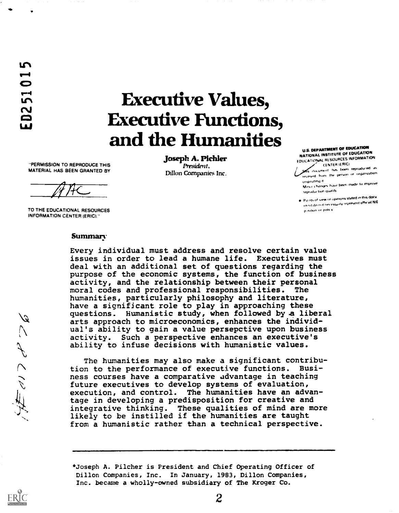# Executive Values, Executive Functions, and the Humanities

"PERMISSION TO REPRODUCE THIS MATERIAL HAS BEEN GRANTED BY

TO THE EDUCATIONAL RESOURCES INFORMATION CENTER (ERIC)"

#### josephA.Pichler President, Dillon Companies Inc.

U.S. DEPANTIMENT OF EDUCATION<br>NATIONAL INSTITUTE OF EDUCATION EDUCATIONAL RESOURCES INFORMATION CENTER IERICI

.<br>I ifulument tun tiesen reproduced as .<br>received from the person or organization.

originating it.<br>Minux Changes have been made to improve I egnodaction qualify

 $\mathbf{p}_{0}$  ms of view of opinions stated in this documents. in in do n.it iin insuitly represent official NIE. P ,s,??4,17 or 177111, V

## Summary

Every individual must address and resolve certain value issues in order to lead a humane life. Executives must deal with an additional set of questions regarding the purpose of the economic systems, the function of business activity, and the relationship between their personal moral codes and professional responsibilities. The humanities, particularly philosophy and literature, have a significant role to play in approaching these questions. Humanistic study, when followed by a liberal arts approach to microeconomics, enhances the individual's ability to gain a value persepctive upon business activity. Such a perspective enhances an executive's ability to infuse decisions with humanistic values.

The humanities may also make a significant contribution to the performance of executive functions. Business courses have a comparative advantage in teaching future executives to develop systems of evaluation, execution, and control. The humanities have an advantage in developing a predisposition for creative and integrative thinking. These qualities of mind are more likely to be instilled if the humanities are taught from a humanistic rather than a technical perspective.



<sup>\*</sup>Joseph A. Filcher is President and Chief Operating Officer of Dillon Companies, Inc. In January, 1983, Dillon Companies, Inc. became a wholly-owned subsidiary of The Kroger Co.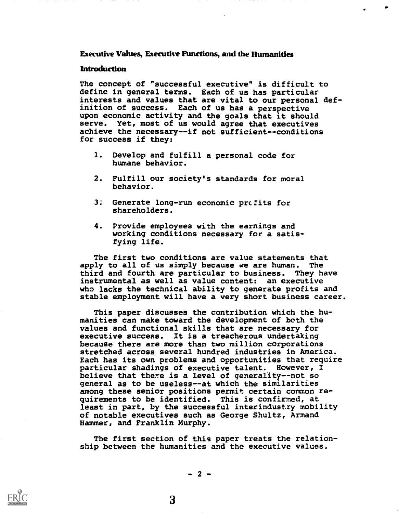## Executive Values, Executive Functions, and the Humanities

#### Introduction

The concept of "successful executive" is difficult to define in general terms. Each of us has particular interests and values that are vital to our personal definition of success. Each of us has a perspective upon economic activity and the goals that it should serve. Yet, most of us would agree that executives achieve the necessary--if not sufficient--conditions for success if they:

- 1. Develop and fulfill a personal code for humane behavior.
- 2. Fulfill our society's standards for moral behavior.
- $3:$ Generate long-run economic prcfits for shareholders.
- 4. Provide employees with the earnings and working conditions necessary for a satisfying life.

The first two conditions are value statements that apply to all of us simply because we are human. The third and fourth are particular to business. They have instrumental as well as value content: an executive who lacks the technical ability to generate profits and stable employment will have a very short business career.

This paper discusses the contribution which the humanities can make toward the development of both the values and functional skills that are necessary for executive success. It is a treacherous undertaking because there are more than two million corporations stretched across several hundred industries in America. Each has its own problems and opportunities that require particular shadings of executive talent. However, I believe that there is a level of generality--not so general as to be useless--at which the similarities among these senior positions permit certain common requirements to be identified. This is confirmed, at least in part, by the successful interindustry mobility of notable executives such as George Shultz, Armand Hammer, and Franklin Murphy.

The first section of this paper treats the relationship between the humanities and the executive values.

 $-2-$ 

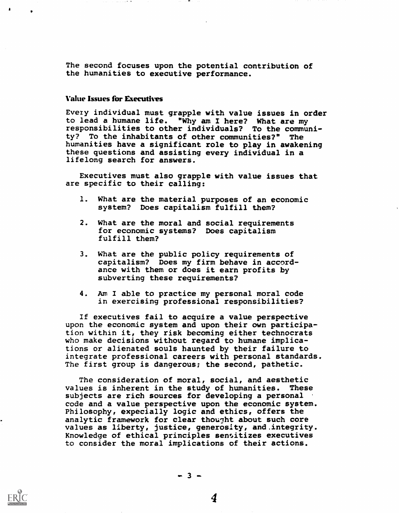The second focuses upon the potential contribution of the humanities to executive performance.

## Value Issues for Executives

Every individual must grapple with value issues in order to lead a humane life. "Why am I here? What are my responsibilities to other individuals? To the community? To the inhabitants of other communities?" The humanities have a significant role to play in awakening these questions and assisting every individual in a lifelong search for answers.

Executives must also grapple with value issues that are specific to their calling:

- 1. What are the material purposes of an economic system? Does capitalism fulfill them?
- 2. What are the moral and social requirements for economic systems? Does capitalism fulfill them?
- 3. What are the public policy requirements of capitalism? Does my firm behave in accordance with them or does it earn profits by subverting these requirements?
- An I able to practice my personal moral code in exercising professional responsibilities?

If executives fail to acquire a value perspective upon the economic system and upon their own participation within it, they risk becoming either technocrats who make decisions without regard to humane implications or alienated souls haunted by their failure to integrate professional careers with personal standards. The first group is dangerous; the second, pathetic.

The consideration of moral, social, and aesthetic values is inherent in the study of humanities. These subjects are rich sources for developing a personal code and a value perspective upon the economic system. Philosophy, expecially logic and ethics, offers the analytic framework for clear thought about such core values as liberty, justice, generosity, and.integrity. Knowledge of ethical principles sensitizes executives to consider the moral implications of their actions.

4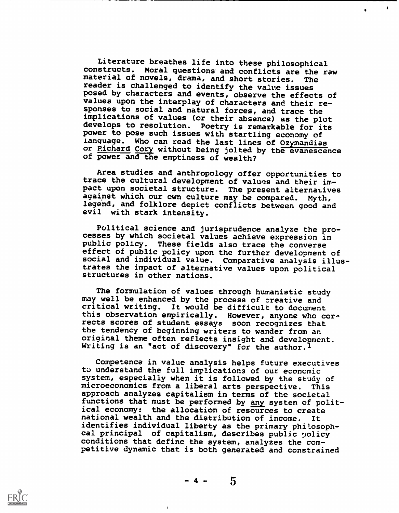Literature breathes life into these philosophical<br>constructs. Moral questions and conflicts are the ri Moral questions and conflicts are the raw<br>novels, drama, and short stories. The material of novels, drama, and short stories. reader is challenged to identify the value issues posed by characters and events, observe the effects of values upon the interplay of characters and their responses to social and natural forces, and trace the implications of values (or their absence) as the plot develops to resolution. Poetry is remarkable for its power to pose such issues with startling economy of ianguage. Who can read the last lines of Ozymandias or Pichard Cory without being jolted by the evanescence of power and the emptiness of wealth?

 $\mathbf{r}$ 

Area studies and anthropology offer opportunities to trace the cultural development of values and their impact upon societal structure. The present alternatives against which our own culture may be compared. Myth, legend, and folklore depict conflicts between good and evil with stark intensity.

Political science and jurisprudence analyze the processes by which societal values achieve expression in public policy. These fields also trace the converse effect of public policy upon the further development of social and individual value. Comparative analysis illustrates the impact of alternative values upon political structures in other nations.

The formulation of values through humanistic study may well be enhanced by the process of creative and critical writing. It would be difficult to document this observation empirically. However, anyone who corrects scores of student essays soon recognizes that the tendency of beginning writers to wander from an original theme often reflects insight and development. Writing is an "act of discovery" for the author.<sup>1</sup>

Competence in value analysis helps future executives to understand the full implications of our economic system, especially when it is followed by the study of microeconomics from a liberal arts perspective. This approach analyzes capitalism in terms of the societal functions that must be performed by any system of political economy: the allocation of resources to create national wealth and the distribution of income. It identifies individual liberty as the primary philosophcal principal of capitalism, describes public volicy conditions that define the system, analyzes the competitive dynamic that is both generated and constrained

 $\mathbf{I}$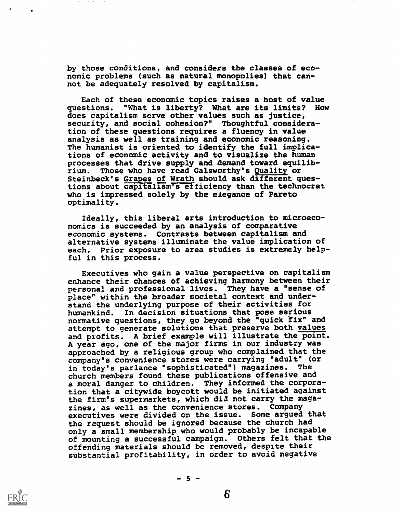by those conditions, and considers the classes of economic problems (such as natural monopolies) that cannot be adequately resolved by capitalism.

Each of these economic topics raises a host of value questions. "What is liberty? What are its limits? How does capitalism serve other values such as justice, security, and social cohesion?" Thoughtful consideration of these questions requires a fluency in value analysis as well as training and economic reasoning. The humanist is oriented to identify the full implications of economic activity and to visualize the human processes that drive supply and demand toward equilibrium. Those who have read Galsworthy's Quality or Steinbeck's Grapes of Wrath should ask different questions about capitalism's efficiency than the technocrat who is impressed solely by the elegance of Pareto optimality.

Ideally, this liberal arts introduction to microeconomics is succeeded by an analysis of comparative economic systems. Contrasts between capitalism and alternative systems illuminate the value implication of each. Prior exposure to area studies is extremely helpful in this process.

Executives who gain a value perspective on capitalism enhance their chances of achieving harmony between their personal and professional lives. They have a "sense of place" within the broader societal context and understand the underlying purpose of their activities for humankind. In decision situations that pose serious normative questions, they go beyond the "quick fix" and attempt to generate solutions that preserve both values and profits. A brief example will illustrate the point. A year ago, one of the major firms in our industry was approached by a religious group who complained that the company's convenience stores were carrying "adult" (or in today's parlance "sophisticated") magazines. church members found these publications offensive and a moral danger to children. They informed the corporation that a citywide boycott would be initiated against the firm's supermarkets, which did not carry the magazines, as well as the convenience stores. Company executives were divided on the issue. Some argued that the request should be ignored because the church had only a small membership who would probably be incapable of mounting a successful campaign. Others felt that the offending materials should be removed, despite their substantial profitability, in order to avoid negative



 $-5 -$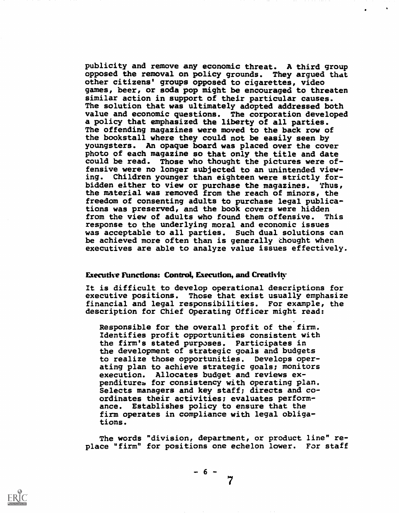publicity and remove any economic threat. A third group opposed the removal on policy grounds. They argued that other citizens' groups opposed to cigarettes, video games, beer, or soda pop might be encouraged to threaten similar action in support of their particular causes. The solution that was ultimately adopted addressed both value and economic questions. The corporation developed a policy that emphasized the liberty of all parties. The offending magazines were moved to the back row of the bookstall where they could not be easily seen by youngsters. An opaque board was placed over the cover photo of each magazine so that only the title and date could be read. Those who thought the pictures were offensive were no longer subjected to an unintended viewing. Children younger than eighteen were strictly forbidden either to view or purchase the magazines. Thus, the material was removed from the reach of minors, the freedom of consenting adults to purchase legal publications was preserved, and the book covers were hidden from the view of adults who found them offensive. This response to the underlying moral and economic issues was acceptable to all parties. Such dual solutions can be achieved more often than is generally thought when executives are able to analyze value issues effectively.

#### Executive Functions: Control, Execution, and Creativity

It is difficult to develop operational descriptions for executive positions. Those that exist usually emphasize financial and legal responsibilities. For example, the description for Chief Operating Officer might read:

Responsible for the overall profit of the firm. Identifies profit opportunities consistent with the firm's stated purposes. Participates in the development of strategic goals and budgets to realize those opportunities. Develops operating plan to achieve strategic goals; monitors execution. Allocates budget and reviews expenditures for consistency with operating plan. Selects managers and key staff; directs and coordinates their activities; evaluates performance. Establishes policy to ensure that the firm operates in compliance with legal obligations.

The words "division, department, or product line" replace "firm" for positions one echelon lower. For staff

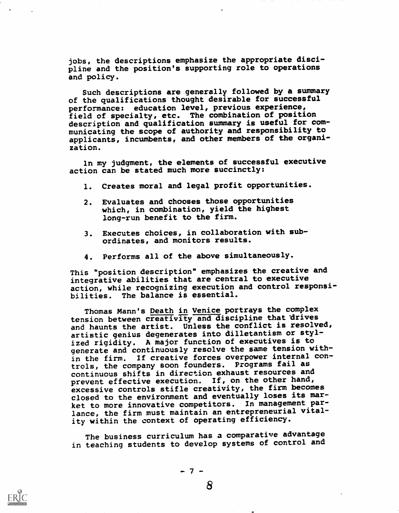jobs, the descriptions emphasize the appropriate discipline and the position's supporting role to operations and policy.

Such descriptions are generally followed by a summary of the qualifications thought desirable for successful performance: education level, previous experience, field of specialty, etc. The combination of position description and qualification summary is useful for communicating the scope of authority and responsibility to applicants, incumbents, and other members of the organization.

In my judgment, the elements of successful executive action can be stated much more succinctly:

- 1. Creates moral and legal profit opportunities.
- 2. Evaluates and chooses those opportunities which, in combination, yield the highest long-run benefit to the firm.
- 3. Executes choices, in collaboration with subordinates, and monitors results.
- 4. Performs all of the above simultaneously.

This "position description" emphasizes the creative and integrative abilities that are central to executive action, while recognizing execution and control responsibilities. The balance is essential.

Thomas Mann's Death in Venice portrays the complex tension between creativity and discipline that drives and haunts the artist. Unless the conflict is resolved, artistic genius degenerates into dilletantism or stylized rigidity. A major function of executives is to generate and continuously resolve the same tension within the firm. If creative forces overpower internal controls, the company soon founders. Programs fail as continuous shifts in direction exhaust resources and prevent effective execution. If, on the other hand, excessive controls stifle creativity, the firm becomes closed to the environment and eventually loses its market to more innovative competitors. In management parlance, the firm must maintain an entrepreneurial vitality within the context of operating efficiency.

The business curriculum has a comparative advantage in teaching students to develop systems of control and

 $-7 -$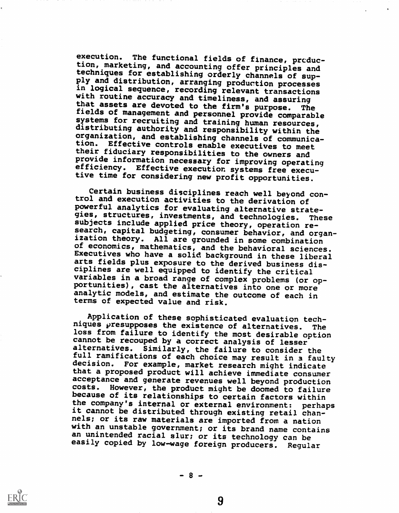execution. The functional fields of finance, produc-<br>tion, marketing, and accounting offer principles and techniques for establishing orderly channels of sup-<br>ply and distribution, arranging production processes<br>in logical sequence, recording relevant transactions<br>with routine accuracy and timeliness, and assuring<br>that assets tion. Effective controls enable executives to meet<br>their fiduciary responsibilities to the owners and<br>provide information necessary for improving operating<br>efficiency. Effective execution systems free executive time for considering new profit opportunities.

Certain business disciplines reach well beyond con-<br>trol and execution activities to the derivation of<br>powerful analytics for evaluating alternative strategies, structures, investments, and technologies. These subjects include applied price theory, operation research, capital budgeting, consumer behavior, and organization theory. All are grounded in some combination of economics, mathematics, and the behavioral sciences. Executives who have a solid background in these liberal arts fields plus exposure to the derived business dis-<br>ciplines are well equipped to identify the critical variables in a broad range of complex problems (or op-<br>portunities), cast the alternatives into one or more analytic models, and estimate the outcome of each in terms of expected value and risk.

Application of these sophisticated evaluation techniques presupposes the existence of alternatives. The<br>loss from failure to identify the most desirable option cannot be recouped by a correct analysis of lesser alternatives. Similarly, the failure to consider the full ramifications of each choice may result in a faulty decision. For example, market research might indicate For example, market research might indicate that a proposed product will achieve immediate consumer acceptance and generate revenues well beyond production costs. However, the product might be doomed to failure because of its relationships to certain factors within<br>the company's internal or external environment: perhaps it cannot be distributed through existing retail chan-<br>nels; or its raw materials are imported from a nation with an unstable government; or its brand name contains an unintended racial slur; or its technology can be easily copied by low-wage foreign producers. Regular

 $-8 -$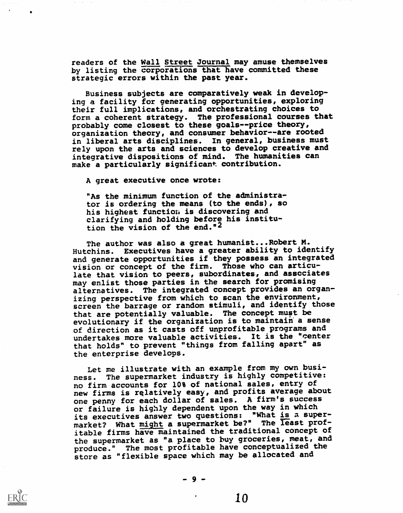readers of the Wall Street Journal may amuse themselves by listing the corporations that have committed these strategic errors within the past year.

Business subjects are comparatively weak in developing a facility for generating opportunities, exploring their full implications, and orchestrating choices to form a coherent strategy. The professional courses that probably come closest to these goals--price theory, organization theory, and consumer behavior--are rooted in liberal arts disciplines. In general, business must rely upon the arts and sciences to develop creative and integrative dispositions of mind. The humanities can make a particularly significant contribution.

A great executive once wrote:

"As the minimum function of the administrator is ordering the means (to the ends), so his highest function is discovering and clarifying and holding before his institution the vision of the end."2

The author was also a great humanist...Robert M. Hutchins. Executives have a greater ability to identify and generate opportunities if they possess an integrated vision or concept of the firm. Those who can articulate that vision to peers, subordinates, and associates may enlist those parties in the search for promising alternatives. The integrated concept provides an organizing perspective from which to scan the environment, screen the barrage or random stimuli, and identify those that are potentially valuable. The concept must be evolutionary if the organization is to maintain a sense of direction as it casts off unprofitable programs and undertakes more valuable activities. It is the "center that holds" to prevent "things from falling apart" as the enterprise develops.

Let me illustrate with an example from my own business. The supermarket industry is highly competitive: no firm accounts for 10% of national sales, entry of new firms is relatively easy, and profits average about one penny for each dollar of sales. A firm's success or failure is highly dependent upon the way in which its executives answer two questions: "What is a supermarket? What might a supermarket be?" The least profitable firms have maintained the traditional concept of the supermarket as "a place to buy groceries, meat, and produce." The most profitable have conceptualized the store as "flexible space which may be allocated and

-9-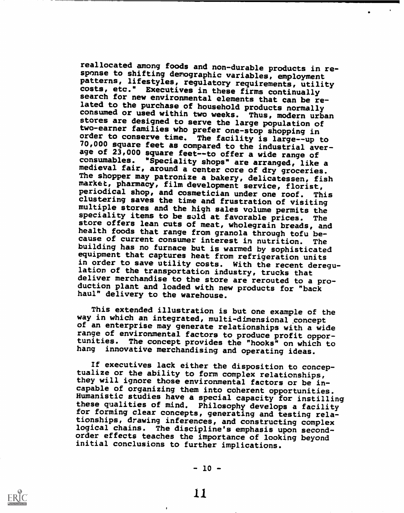reallocated among foods and non-durable products in re-<br>sponse to shifting demographic variables, employment patterns, lifestyles, regulatory requirements, utility<br>costs, etc." Executives in these firms continually search for new environmental elements that can be re-<br>lated to the purchase of household products normally<br>consumed or used within two weeks. Thus, modern urban stores are designed to serve the large population of two-earner families who prefer one-stop shopping in 70,000 square feet as compared to the industrial aver-<br>age of 23,000 square feet--to offer a wide range of<br>consumables. "Speciality shops" are arranged, like a medieval fair, around a center core of dry groceries.<br>The shopper may patronize a bakery, delicatessen, fish<br>market, pharmacy, film development service, florist,<br>periodical shop, and cosmetician under one roof. This clustering saves the time and frustration of visiting<br>multiple stores and the high sales volume permits the speciality items to be sold at favorable prices. The store offers lean cuts of meat, wholegrain breads, and health foods that range from granola through tofu because of current consumer interest in nutrition. The building has no furnace but is warmed by sophisticated equipment that captures heat from refrigeration units in order to save utility costs. With the recent deregu-<br>lation of the transportation industry, trucks that deliver merchandise to the store are rerouted to a pro-<br>duction plant and loaded with new products for "back<br>haul" delivery to the warehouse.

This extended illustration is but one example of the way in which an integrated, multi-dimensional concept of an enterprise may generate relationships with a wide range of environmental factors to produce profit opportunities. The concept provides the "hooks" on which to hang innovative merchandising and operating ideas.

If executives lack either the disposition to concep-<br>tualize or the ability to form complex relationships, they will ignore those environmental factors or be in-<br>capable of organizing them into coherent opportunities. Humanistic studies have a special capacity for instilling these qualities of mind. Philosophy develops a facility for forming clear concepts, generating and testing relationships, drawing inferences, and constructing complex logical chains. The discipline's emphasis upon secondorder effects teaches the importance of looking beyond initial conclusions to further implications.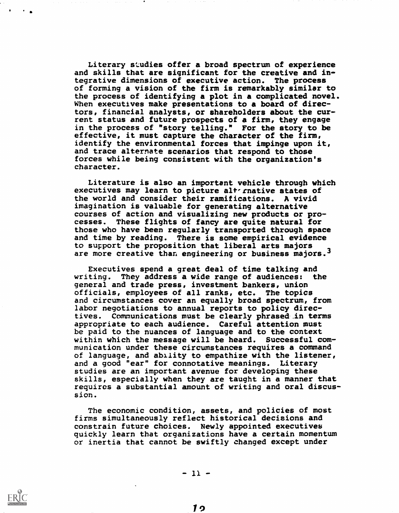Literary studies offer a broad spectrum of experience and skills that are significant for the creative and integrative dimensions of executive action. The process of forming a vision of the firm is remarkably similar to the process of identifying a plot in a complicated novel. When executives make presentations to a board of directors, financial analysts, or shareholders about the current status and future prospects of a firm, they engage in the process of "story telling." For the story to be effective, it must capture the character of the firm, identify the environmental forces that impinge upon it, and trace alternate scenarios that respond to those forces while being consistent with the organization's character.

Literature is also an important vehicle through which executives may learn to picture alternative states of the world and consider their ramifications. A vivid imagination is valuable for generating alternative courses of action and visualizing new products or processes. These flights of fancy are quite natural for those who have been regularly transported through space and time by reading. There is some empirical evidence to support the proposition that liberal arts majors are more creative than engineering or business majors.3

Executives spend a great deal of time talking and writing. They address a wide range of audiences: the general and trade press, investment bankers, union officials, employees of all ranks, etc. The topics and circumstances cover an equally broad spectrum, from labor negotiations to annual reports to policy directives. Communications must be clearly phrased in terms appropriate to each audience. Careful attention must be paid to the nuances of language and to the context within which the message will be heard. Successful communication under these circumstances requires a command of language, and ability to empathize with the listener, and a good "ear" for connotative meanings. Literary studies are an important avenue for developing these skills, especially when they are taught in a manner that requires a substantial amount of writing and oral discussion.

The economic condition, assets, and policies of most firms simultaneously reflect historical decisions and constrain future choices. Newly appointed executives quickly learn that organizations have a certain momentum or inertia that cannot be swiftly changed except under

 $\mathcal{L}^{\mathcal{A}}$ 

 $-11 -$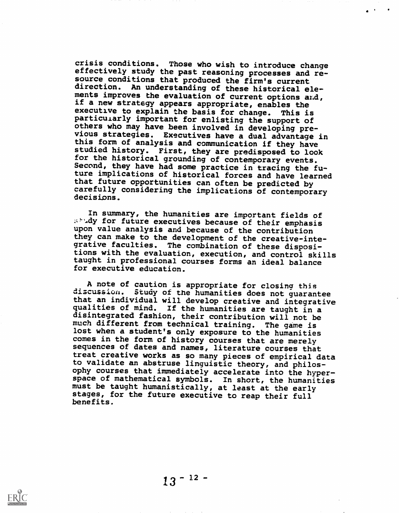crisis conditions. Those who wish to introduce change effectively study the past reasoning processes and resource conditions that produced the firm's current direction. An understanding of these historical ele-<br>ments improves the evaluation of current options and, if a new strategy appears appropriate, enables the executive to explain the basis for change. This is particularly important for enlisting the support of others who may have been involved in developing previous strategies. Executives have a dual advantage in this form of analysis and communication if they have studied history. First, they are predisposed to look<br>for the historical grounding of contemporary events. Second, they have had some practice in tracing the future implications of historical forces and have learned that future opportunities can often be predicted by carefully considering the implications of contemporary decisions.

In summary, the humanities are important fields of .dy for future executives because of their emphasis upon value analysis and because of the contribution they can make to the development of the creative-integrative faculties. The combination of these dispositions with the evaluation, execution, and control skills taught in professional courses forms an ideal balance for executive education.

A note of caution is appropriate for closing this discussion. Study of the humanities does not guarantee that an individual will develop creative and integrative qualities of mind. If the humanities are taught in a disintegrated fashion, their contribution will not be much different from technical training. The game is lost when a student's only exposure to the humanities comes in the form of history courses that are merely sequences of dates and names, literature courses that treat creative works as so many pieces of empirical data to validate an abstruse linguistic theory, and philosophy courses that immediately accelerate into the hyperspace of mathematical symbols. In short, the humanities must be taught humanistically, at least at the early stages, for the future executive to reap their full benefits,

 $13 - 12 -$ 

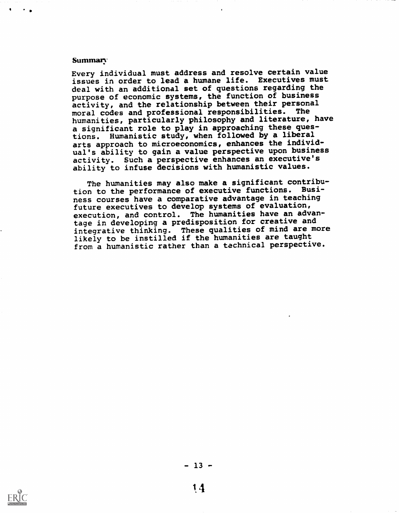#### Summary

Every individual must address and resolve certain value issues in order to lead a humane life. Executives must deal with an additional set of questions regarding the purpose of economic systems, the function of business activity, and the relationship between their personal moral codes and professional responsibilities. The humanities, particularly philosophy and literature, have a significant role to play in approaching these questions. Humanistic study, when followed by a liberal arts approach to microeconomics, enhances the individual's ability to gain a value perspective upon business activity. Such a perspective enhances an executive's ability to infuse decisions with humanistic values.

The humanities may also make a significant contribution to the performance of executive functions. Business courses have a comparative advantage in teaching future executives to develop systems of evaluation, execution, and control. The humanities have an advantage in developing a predisposition for creative and integrative thinking. These qualities of mind are more likely to be instilled if the humanities are taught from a humanistic rather than a technical perspective.